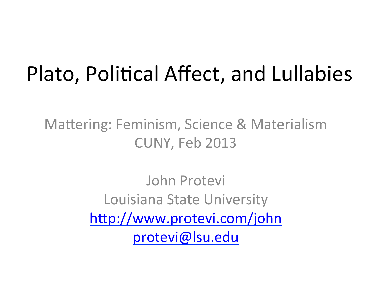### Plato, Political Affect, and Lullabies

Mattering: Feminism, Science & Materialism CUNY, Feb 2013

> John Protevi Louisiana State University http://www.protevi.com/john protevi@lsu.edu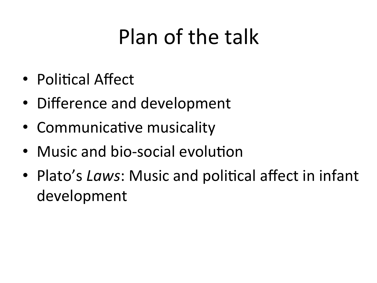# Plan of the talk

- Political Affect
- Difference and development
- Communicative musicality
- Music and bio-social evolution
- Plato's Laws: Music and political affect in infant development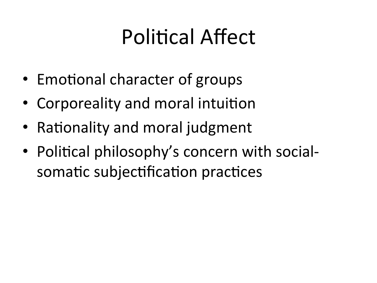# **Political Affect**

- Emotional character of groups
- Corporeality and moral intuition
- Rationality and moral judgment
- Political philosophy's concern with socialsomatic subjectification practices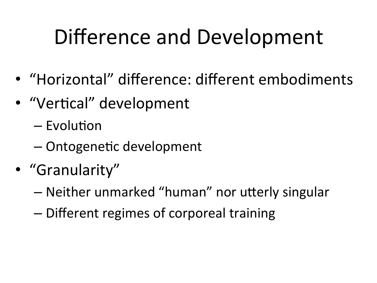# Difference and Development

- "Horizontal" difference: different embodiments
- "Vertical" development
	- $-$  Evolution
	- Ontogenetic development
- "Granularity"
	- Neither unmarked "human" nor utterly singular
	- Different regimes of corporeal training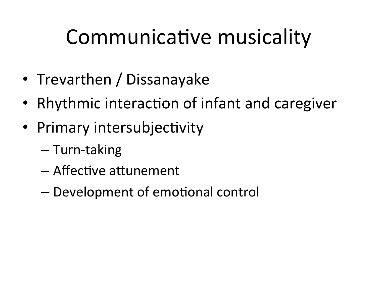## Communicative musicality

- Trevarthen / Dissanayake
- Rhythmic interaction of infant and caregiver
- Primary intersubjectivity
	- Turn-taking
	- Affective attunement
	- Development of emotional control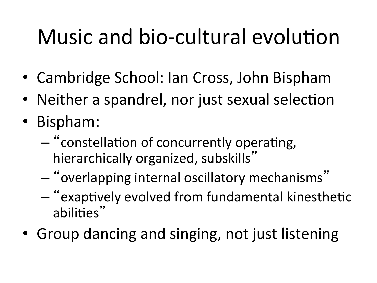# Music and bio-cultural evolution

- Cambridge School: Ian Cross, John Bispham
- Neither a spandrel, nor just sexual selection
- Bispham:
	- "constellation of concurrently operating, hierarchically organized, subskills"
	- "overlapping'internal'oscillatory'mechanisms"''
	- $-$  "exaptively evolved from fundamental kinesthetic abilities"
- Group dancing and singing, not just listening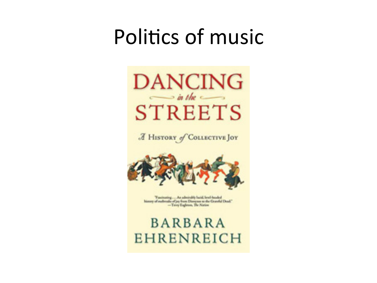#### Politics of music



A HISTORY of COLLECTIVE JOY



Tascinating ... An admirably lacid, lavel-beaded history of surboulds of joy from Dieseyans to the Granthal Dead." -Terry Explorers, The Nation

**BARBARA EHRENREICH**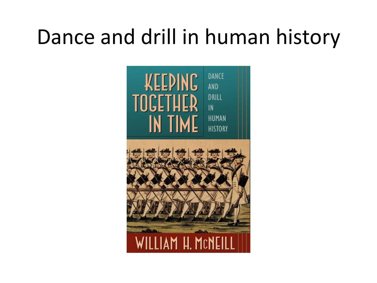## Dance and drill in human history

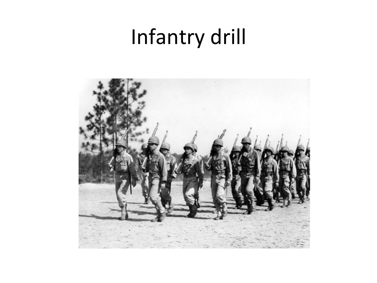## Infantry drill

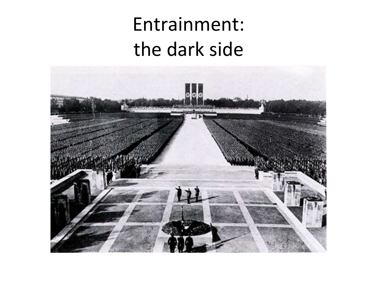#### Entrainment: the dark side

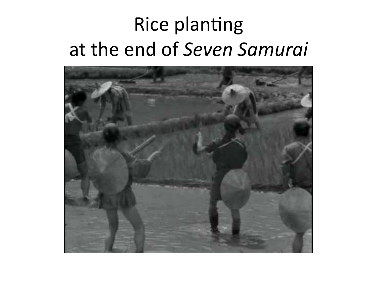#### Rice planting at'the'end'of'*Seven)Samurai)*

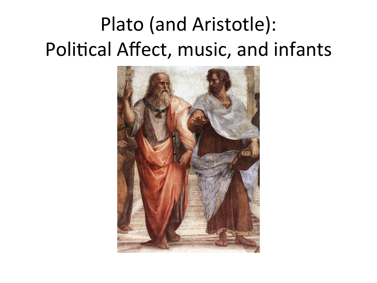### Plato (and Aristotle): Political Affect, music, and infants

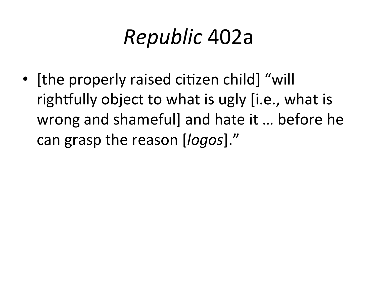# *Republic*'402a'

• [the properly raised citizen child] "will rightfully object to what is ugly [i.e., what is wrong and shameful] and hate it ... before he can grasp the reason [*logos*]."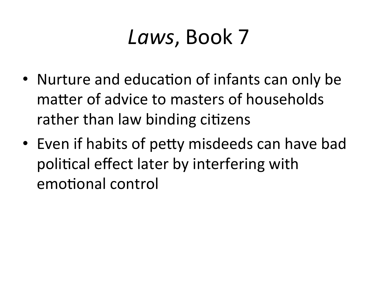### Laws, Book 7

- Nurture and education of infants can only be matter of advice to masters of households rather than law binding citizens
- Even if habits of petty misdeeds can have bad political effect later by interfering with emotional control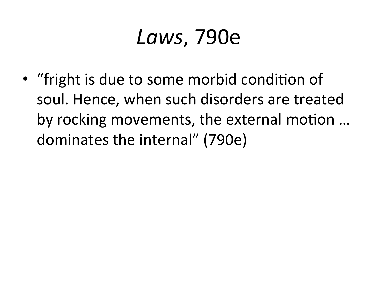### *Laws*,'790e'

• "fright is due to some morbid condition of soul. Hence, when such disorders are treated by rocking movements, the external motion ... dominates the internal" (790e)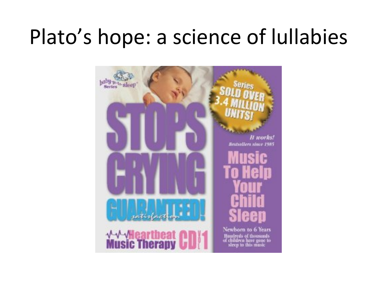## Plato's hope: a science of lullabies

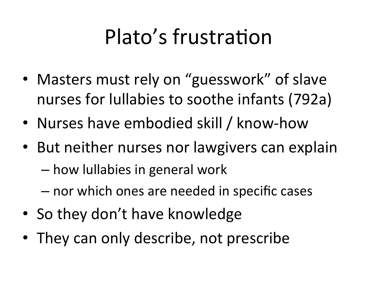# Plato's frustration

- Masters must rely on "guesswork" of slave nurses for lullabies to soothe infants (792a)
- Nurses have embodied skill / know-how
- But neither nurses nor lawgivers can explain
	- how lullabies in general work
	- nor which ones are needed in specific cases
- So they don't have knowledge
- They can only describe, not prescribe